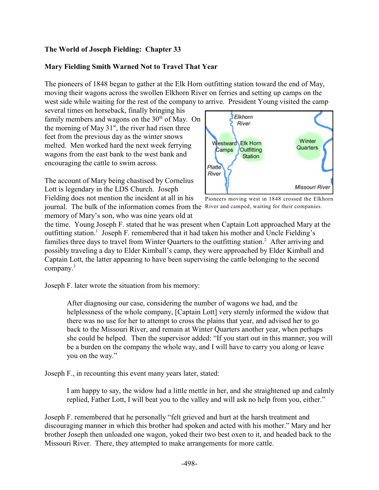# **The World of Joseph Fielding: Chapter 33**

### **Mary Fielding Smith Warned Not to Travel That Year**

The pioneers of 1848 began to gather at the Elk Horn outfitting station toward the end of May, moving their wagons across the swollen Elkhorn River on ferries and setting up camps on the west side while waiting for the rest of the company to arrive. President Young visited the camp

several times on horseback, finally bringing his family members and wagons on the  $30<sup>th</sup>$  of May. On the morning of May  $31<sup>st</sup>$ , the river had risen three feet from the previous day as the winter snows melted. Men worked hard the next week ferrying wagons from the east bank to the west bank and encouraging the cattle to swim across.

The account of Mary being chastised by Cornelius Lott is legendary in the LDS Church. Joseph Fielding does not mention the incident at all in his



journal. The bulk of the information comes from the River and camped, waiting for their companies.memory of Mary's son, who was nine years old at Pioneers moving west in 1848 crossed the Elkhorn

the time. Young Joseph F. stated that he was present when Captain Lott approached Mary at the outfitting station.<sup>1</sup> Joseph F. remembered that it had taken his mother and Uncle Fielding's families three days to travel from Winter Quarters to the outfitting station.<sup>2</sup> After arriving and possibly traveling a day to Elder Kimball's camp, they were approached by Elder Kimball and Captain Lott, the latter appearing to have been supervising the cattle belonging to the second company.<sup>3</sup>

Joseph F. later wrote the situation from his memory:

After diagnosing our case, considering the number of wagons we had, and the helplessness of the whole company, [Captain Lott] very sternly informed the widow that there was no use for her to attempt to cross the plains that year, and advised her to go back to the Missouri River, and remain at Winter Quarters another year, when perhaps she could be helped. Then the supervisor added: "If you start out in this manner, you will be a burden on the company the whole way, and I will have to carry you along or leave you on the way."

Joseph F., in recounting this event many years later, stated:

I am happy to say, the widow had a little mettle in her, and she straightened up and calmly replied, Father Lott, I will beat you to the valley and will ask no help from you, either."

Joseph F. remembered that he personally "felt grieved and hurt at the harsh treatment and discouraging manner in which this brother had spoken and acted with his mother." Mary and her brother Joseph then unloaded one wagon, yoked their two best oxen to it, and headed back to the Missouri River. There, they attempted to make arrangements for more cattle.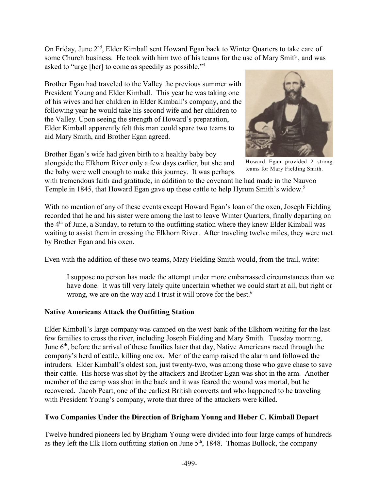On Friday, June  $2<sup>nd</sup>$ , Elder Kimball sent Howard Egan back to Winter Quarters to take care of some Church business. He took with him two of his teams for the use of Mary Smith, and was asked to "urge [her] to come as speedily as possible."<sup>4</sup>

Brother Egan had traveled to the Valley the previous summer with President Young and Elder Kimball. This year he was taking one of his wives and her children in Elder Kimball's company, and the following year he would take his second wife and her children to the Valley. Upon seeing the strength of Howard's preparation, Elder Kimball apparently felt this man could spare two teams to aid Mary Smith, and Brother Egan agreed.

Brother Egan's wife had given birth to a healthy baby boy alongside the Elkhorn River only a few days earlier, but she and the baby were well enough to make this journey. It was perhaps



Howard Egan provided 2 strong teams for Mary Fielding Smith.

with tremendous faith and gratitude, in addition to the covenant he had made in the Nauvoo Temple in 1845, that Howard Egan gave up these cattle to help Hyrum Smith's widow.<sup>5</sup>

With no mention of any of these events except Howard Egan's loan of the oxen, Joseph Fielding recorded that he and his sister were among the last to leave Winter Quarters, finally departing on the 4<sup>th</sup> of June, a Sunday, to return to the outfitting station where they knew Elder Kimball was waiting to assist them in crossing the Elkhorn River. After traveling twelve miles, they were met by Brother Egan and his oxen.

Even with the addition of these two teams, Mary Fielding Smith would, from the trail, write:

I suppose no person has made the attempt under more embarrassed circumstances than we have done. It was till very lately quite uncertain whether we could start at all, but right or wrong, we are on the way and I trust it will prove for the best.<sup>6</sup>

## **Native Americans Attack the Outfitting Station**

Elder Kimball's large company was camped on the west bank of the Elkhorn waiting for the last few families to cross the river, including Joseph Fielding and Mary Smith. Tuesday morning, June  $6<sup>th</sup>$ , before the arrival of these families later that day, Native Americans raced through the company's herd of cattle, killing one ox. Men of the camp raised the alarm and followed the intruders. Elder Kimball's oldest son, just twenty-two, was among those who gave chase to save their cattle. His horse was shot by the attackers and Brother Egan was shot in the arm. Another member of the camp was shot in the back and it was feared the wound was mortal, but he recovered. Jacob Peart, one of the earliest British converts and who happened to be traveling with President Young's company, wrote that three of the attackers were killed.

# **Two Companies Under the Direction of Brigham Young and Heber C. Kimball Depart**

Twelve hundred pioneers led by Brigham Young were divided into four large camps of hundreds as they left the Elk Horn outfitting station on June  $5<sup>th</sup>$ , 1848. Thomas Bullock, the company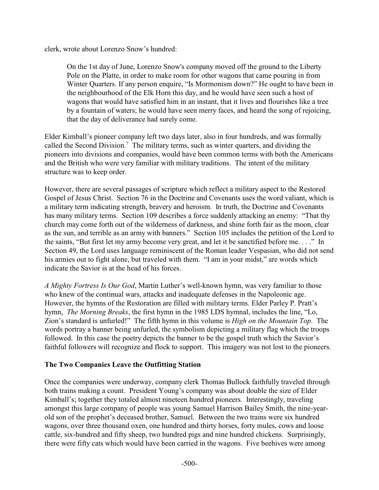clerk, wrote about Lorenzo Snow's hundred:

On the 1st day of June, Lorenzo Snow's company moved off the ground to the Liberty Pole on the Platte, in order to make room for other wagons that came pouring in from Winter Quarters. If any person enquire, "Is Mormonism down?" He ought to have been in the neighbourhood of the Elk Horn this day, and he would have seen such a host of wagons that would have satisfied him in an instant, that it lives and flourishes like a tree by a fountain of waters; he would have seen merry faces, and heard the song of rejoicing, that the day of deliverance had surely come.

Elder Kimball's pioneer company left two days later, also in four hundreds, and was formally called the Second Division.<sup>7</sup> The military terms, such as winter quarters, and dividing the pioneers into divisions and companies, would have been common terms with both the Americans and the British who were very familiar with military traditions. The intent of the military structure was to keep order.

However, there are several passages of scripture which reflect a military aspect to the Restored Gospel of Jesus Christ. Section 76 in the Doctrine and Covenants uses the word valiant, which is a military term indicating strength, bravery and heroism. In truth, the Doctrine and Covenants has many military terms. Section 109 describes a force suddenly attacking an enemy: "That thy church may come forth out of the wilderness of darkness, and shine forth fair as the moon, clear as the sun, and terrible as an army with banners." Section 105 includes the petition of the Lord to the saints, "But first let my army become very great, and let it be sanctified before me. . . ." In Section 49, the Lord uses language reminiscent of the Roman leader Vespasian, who did not send his armies out to fight alone, but traveled with them. "I am in your midst," are words which indicate the Savior is at the head of his forces.

*A Mighty Fortress Is Our God*, Martin Luther's well-known hymn, was very familiar to those who knew of the continual wars, attacks and inadequate defenses in the Napoleonic age. However, the hymns of the Restoration are filled with military terms. Elder Parley P. Pratt's hymn, *The Morning Breaks*, the first hymn in the 1985 LDS hymnal, includes the line, "Lo, Zion's standard is unfurled!" The fifth hymn in this volume is *High on the Mountain Top*. The words portray a banner being unfurled, the symbolism depicting a military flag which the troops followed. In this case the poetry depicts the banner to be the gospel truth which the Savior's faithful followers will recognize and flock to support. This imagery was not lost to the pioneers.

## **The Two Companies Leave the Outfitting Station**

Once the companies were underway, company clerk Thomas Bullock faithfully traveled through both trains making a count. President Young's company was about double the size of Elder Kimball's; together they totaled almost nineteen hundred pioneers. Interestingly, traveling amongst this large company of people was young Samuel Harrison Bailey Smith, the nine-yearold son of the prophet's deceased brother, Samuel. Between the two trains were six hundred wagons, over three thousand oxen, one hundred and thirty horses, forty mules, cows and loose cattle, six-hundred and fifty sheep, two hundred pigs and nine hundred chickens. Surprisingly, there were fifty cats which would have been carried in the wagons. Five beehives were among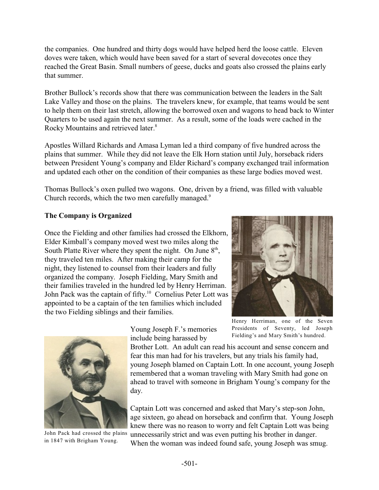the companies. One hundred and thirty dogs would have helped herd the loose cattle. Eleven doves were taken, which would have been saved for a start of several dovecotes once they reached the Great Basin. Small numbers of geese, ducks and goats also crossed the plains early that summer.

Brother Bullock's records show that there was communication between the leaders in the Salt Lake Valley and those on the plains. The travelers knew, for example, that teams would be sent to help them on their last stretch, allowing the borrowed oxen and wagons to head back to Winter Quarters to be used again the next summer. As a result, some of the loads were cached in the Rocky Mountains and retrieved later.<sup>8</sup>

Apostles Willard Richards and Amasa Lyman led a third company of five hundred across the plains that summer. While they did not leave the Elk Horn station until July, horseback riders between President Young's company and Elder Richard's company exchanged trail information and updated each other on the condition of their companies as these large bodies moved west.

Thomas Bullock's oxen pulled two wagons. One, driven by a friend, was filled with valuable Church records, which the two men carefully managed.<sup>9</sup>

### **The Company is Organized**

Once the Fielding and other families had crossed the Elkhorn, Elder Kimball's company moved west two miles along the South Platte River where they spent the night. On June  $8<sup>th</sup>$ , they traveled ten miles. After making their camp for the night, they listened to counsel from their leaders and fully organized the company. Joseph Fielding, Mary Smith and their families traveled in the hundred led by Henry Herriman. John Pack was the captain of fifty.<sup>10</sup> Cornelius Peter Lott was appointed to be a captain of the ten families which included the two Fielding siblings and their families.





John Pack had crossed the plains in 1847 with Brigham Young.

Young Joseph F.'s memories include being harassed by

Henry Herriman, one of the Seven Presidents of Seventy, led Joseph Fielding's and Mary Smith's hundred.

Brother Lott. An adult can read his account and sense concern and fear this man had for his travelers, but any trials his family had, young Joseph blamed on Captain Lott. In one account, young Joseph remembered that a woman traveling with Mary Smith had gone on ahead to travel with someone in Brigham Young's company for the day.

Captain Lott was concerned and asked that Mary's step-son John, age sixteen, go ahead on horseback and confirm that. Young Joseph knew there was no reason to worry and felt Captain Lott was being unnecessarily strict and was even putting his brother in danger.

When the woman was indeed found safe, young Joseph was smug.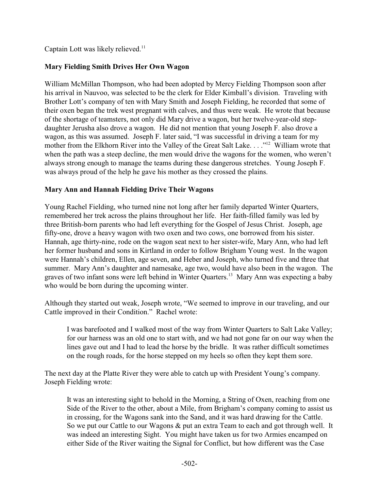Captain Lott was likely relieved.<sup>11</sup>

# **Mary Fielding Smith Drives Her Own Wagon**

William McMillan Thompson, who had been adopted by Mercy Fielding Thompson soon after his arrival in Nauvoo, was selected to be the clerk for Elder Kimball's division. Traveling with Brother Lott's company of ten with Mary Smith and Joseph Fielding, he recorded that some of their oxen began the trek west pregnant with calves, and thus were weak. He wrote that because of the shortage of teamsters, not only did Mary drive a wagon, but her twelve-year-old stepdaughter Jerusha also drove a wagon. He did not mention that young Joseph F. also drove a wagon, as this was assumed. Joseph F. later said, "I was successful in driving a team for my mother from the Elkhorn River into the Valley of the Great Salt Lake. . . . "<sup>12</sup> William wrote that when the path was a steep decline, the men would drive the wagons for the women, who weren't always strong enough to manage the teams during these dangerous stretches. Young Joseph F. was always proud of the help he gave his mother as they crossed the plains.

# **Mary Ann and Hannah Fielding Drive Their Wagons**

Young Rachel Fielding, who turned nine not long after her family departed Winter Quarters, remembered her trek across the plains throughout her life. Her faith-filled family was led by three British-born parents who had left everything for the Gospel of Jesus Christ. Joseph, age fifty-one, drove a heavy wagon with two oxen and two cows, one borrowed from his sister. Hannah, age thirty-nine, rode on the wagon seat next to her sister-wife, Mary Ann, who had left her former husband and sons in Kirtland in order to follow Brigham Young west. In the wagon were Hannah's children, Ellen, age seven, and Heber and Joseph, who turned five and three that summer. Mary Ann's daughter and namesake, age two, would have also been in the wagon. The graves of two infant sons were left behind in Winter Quarters.<sup>13</sup> Mary Ann was expecting a baby who would be born during the upcoming winter.

Although they started out weak, Joseph wrote, "We seemed to improve in our traveling, and our Cattle improved in their Condition." Rachel wrote:

I was barefooted and I walked most of the way from Winter Quarters to Salt Lake Valley; for our harness was an old one to start with, and we had not gone far on our way when the lines gave out and I had to lead the horse by the bridle. It was rather difficult sometimes on the rough roads, for the horse stepped on my heels so often they kept them sore.

The next day at the Platte River they were able to catch up with President Young's company. Joseph Fielding wrote:

It was an interesting sight to behold in the Morning, a String of Oxen, reaching from one Side of the River to the other, about a Mile, from Brigham's company coming to assist us in crossing, for the Wagons sank into the Sand, and it was hard drawing for the Cattle. So we put our Cattle to our Wagons & put an extra Team to each and got through well. It was indeed an interesting Sight. You might have taken us for two Armies encamped on either Side of the River waiting the Signal for Conflict, but how different was the Case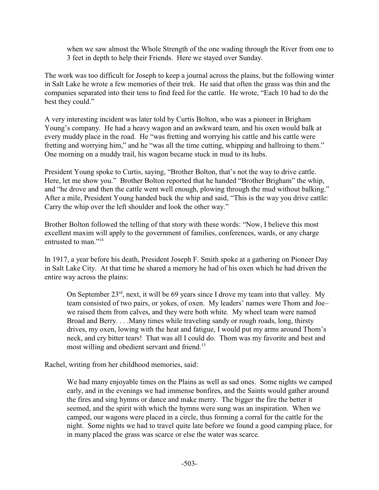when we saw almost the Whole Strength of the one wading through the River from one to 3 feet in depth to help their Friends. Here we stayed over Sunday.

The work was too difficult for Joseph to keep a journal across the plains, but the following winter in Salt Lake he wrote a few memories of their trek. He said that often the grass was thin and the companies separated into their tens to find feed for the cattle. He wrote, "Each 10 had to do the best they could."

A very interesting incident was later told by Curtis Bolton, who was a pioneer in Brigham Young's company. He had a heavy wagon and an awkward team, and his oxen would balk at every muddy place in the road. He "was fretting and worrying his cattle and his cattle were fretting and worrying him," and he "was all the time cutting, whipping and hallroing to them." One morning on a muddy trail, his wagon became stuck in mud to its hubs.

President Young spoke to Curtis, saying, "Brother Bolton, that's not the way to drive cattle. Here, let me show you." Brother Bolton reported that he handed "Brother Brigham" the whip, and "he drove and then the cattle went well enough, plowing through the mud without balking." After a mile, President Young handed back the whip and said, "This is the way you drive cattle: Carry the whip over the left shoulder and look the other way."

Brother Bolton followed the telling of that story with these words: "Now, I believe this most excellent maxim will apply to the government of families, conferences, wards, or any charge entrusted to man."<sup>14</sup>

In 1917, a year before his death, President Joseph F. Smith spoke at a gathering on Pioneer Day in Salt Lake City. At that time he shared a memory he had of his oxen which he had driven the entire way across the plains:

On September  $23<sup>rd</sup>$ , next, it will be 69 years since I drove my team into that valley. My team consisted of two pairs, or yokes, of oxen. My leaders' names were Thom and Joe– we raised them from calves, and they were both white. My wheel team were named Broad and Berry. . . .Many times while traveling sandy or rough roads, long, thirsty drives, my oxen, lowing with the heat and fatigue, I would put my arms around Thom's neck, and cry bitter tears! That was all I could do. Thom was my favorite and best and most willing and obedient servant and friend.<sup>15</sup>

Rachel, writing from her childhood memories, said:

We had many enjoyable times on the Plains as well as sad ones. Some nights we camped early, and in the evenings we had immense bonfires, and the Saints would gather around the fires and sing hymns or dance and make merry. The bigger the fire the better it seemed, and the spirit with which the hymns were sung was an inspiration. When we camped, our wagons were placed in a circle, thus forming a corral for the cattle for the night. Some nights we had to travel quite late before we found a good camping place, for in many placed the grass was scarce or else the water was scarce.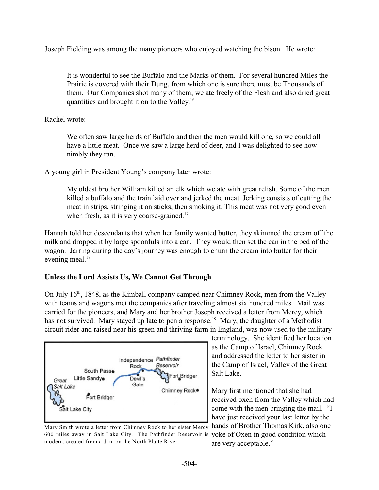Joseph Fielding was among the many pioneers who enjoyed watching the bison. He wrote:

It is wonderful to see the Buffalo and the Marks of them. For several hundred Miles the Prairie is covered with their Dung, from which one is sure there must be Thousands of them. Our Companies shot many of them; we ate freely of the Flesh and also dried great quantities and brought it on to the Valley.<sup>16</sup>

Rachel wrote:

We often saw large herds of Buffalo and then the men would kill one, so we could all have a little meat. Once we saw a large herd of deer, and I was delighted to see how nimbly they ran.

A young girl in President Young's company later wrote:

My oldest brother William killed an elk which we ate with great relish. Some of the men killed a buffalo and the train laid over and jerked the meat. Jerking consists of cutting the meat in strips, stringing it on sticks, then smoking it. This meat was not very good even when fresh, as it is very coarse-grained.<sup>17</sup>

Hannah told her descendants that when her family wanted butter, they skimmed the cream off the milk and dropped it by large spoonfuls into a can. They would then set the can in the bed of the wagon. Jarring during the day's journey was enough to churn the cream into butter for their evening meal.<sup>18</sup>

## **Unless the Lord Assists Us, We Cannot Get Through**

On July  $16<sup>th</sup>$ , 1848, as the Kimball company camped near Chimney Rock, men from the Valley with teams and wagons met the companies after traveling almost six hundred miles. Mail was carried for the pioneers, and Mary and her brother Joseph received a letter from Mercy, which has not survived. Mary stayed up late to pen a response.<sup>19</sup> Mary, the daughter of a Methodist circuit rider and raised near his green and thriving farm in England, was now used to the military



Mary Smith wrote a letter from Chimney Rock to her sister Mercy 600 miles away in Salt Lake City. The Pathfinder Reservoir is modern, created from a dam on the North Platte River.

terminology. She identified her location as the Camp of Israel, Chimney Rock and addressed the letter to her sister in the Camp of Israel, Valley of the Great Salt Lake.

Mary first mentioned that she had received oxen from the Valley which had come with the men bringing the mail. "I have just received your last letter by the hands of Brother Thomas Kirk, also one yoke of Oxen in good condition which

are very acceptable."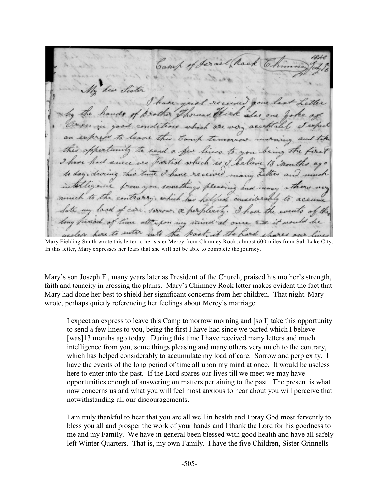Camp of Jar dear choter then are which is I belie and mo considera a ce perplexis ihou in al into the past, if the hard shares our lives here to usefal

Mary Fielding Smith wrote this letter to her sister Mercy from Chimney Rock, almost 600 miles from Salt Lake City. In this letter, Mary expresses her fears that she will not be able to complete the journey.

Mary's son Joseph F., many years later as President of the Church, praised his mother's strength, faith and tenacity in crossing the plains. Mary's Chimney Rock letter makes evident the fact that Mary had done her best to shield her significant concerns from her children. That night, Mary wrote, perhaps quietly referencing her feelings about Mercy's marriage:

I expect an express to leave this Camp tomorrow morning and [so I] take this opportunity to send a few lines to you, being the first I have had since we parted which I believe [was]13 months ago today. During this time I have received many letters and much intelligence from you, some things pleasing and many others very much to the contrary, which has helped considerably to accumulate my load of care. Sorrow and perplexity. I have the events of the long period of time all upon my mind at once. It would be useless here to enter into the past. If the Lord spares our lives till we meet we may have opportunities enough of answering on matters pertaining to the past. The present is what now concerns us and what you will feel most anxious to hear about you will perceive that notwithstanding all our discouragements.

I am truly thankful to hear that you are all well in health and I pray God most fervently to bless you all and prosper the work of your hands and I thank the Lord for his goodness to me and my Family. We have in general been blessed with good health and have all safely left Winter Quarters. That is, my own Family. I have the five Children, Sister Grinnells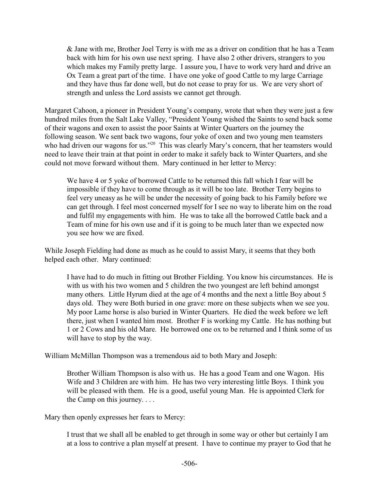& Jane with me, Brother Joel Terry is with me as a driver on condition that he has a Team back with him for his own use next spring. I have also 2 other drivers, strangers to you which makes my Family pretty large. I assure you, I have to work very hard and drive an Ox Team a great part of the time. I have one yoke of good Cattle to my large Carriage and they have thus far done well, but do not cease to pray for us. We are very short of strength and unless the Lord assists we cannot get through.

Margaret Cahoon, a pioneer in President Young's company, wrote that when they were just a few hundred miles from the Salt Lake Valley, "President Young wished the Saints to send back some of their wagons and oxen to assist the poor Saints at Winter Quarters on the journey the following season. We sent back two wagons, four yoke of oxen and two young men teamsters who had driven our wagons for us."<sup>20</sup> This was clearly Mary's concern, that her teamsters would need to leave their train at that point in order to make it safely back to Winter Quarters, and she could not move forward without them. Mary continued in her letter to Mercy:

We have 4 or 5 yoke of borrowed Cattle to be returned this fall which I fear will be impossible if they have to come through as it will be too late. Brother Terry begins to feel very uneasy as he will be under the necessity of going back to his Family before we can get through. I feel most concerned myself for I see no way to liberate him on the road and fulfil my engagements with him. He was to take all the borrowed Cattle back and a Team of mine for his own use and if it is going to be much later than we expected now you see how we are fixed.

While Joseph Fielding had done as much as he could to assist Mary, it seems that they both helped each other. Mary continued:

I have had to do much in fitting out Brother Fielding. You know his circumstances. He is with us with his two women and 5 children the two youngest are left behind amongst many others. Little Hyrum died at the age of 4 months and the next a little Boy about 5 days old. They were Both buried in one grave: more on these subjects when we see you. My poor Lame horse is also buried in Winter Quarters. He died the week before we left there, just when I wanted him most. Brother F is working my Cattle. He has nothing but 1 or 2 Cows and his old Mare. He borrowed one ox to be returned and I think some of us will have to stop by the way.

William McMillan Thompson was a tremendous aid to both Mary and Joseph:

Brother William Thompson is also with us. He has a good Team and one Wagon. His Wife and 3 Children are with him. He has two very interesting little Boys. I think you will be pleased with them. He is a good, useful young Man. He is appointed Clerk for the Camp on this journey. . . .

Mary then openly expresses her fears to Mercy:

I trust that we shall all be enabled to get through in some way or other but certainly I am at a loss to contrive a plan myself at present. I have to continue my prayer to God that he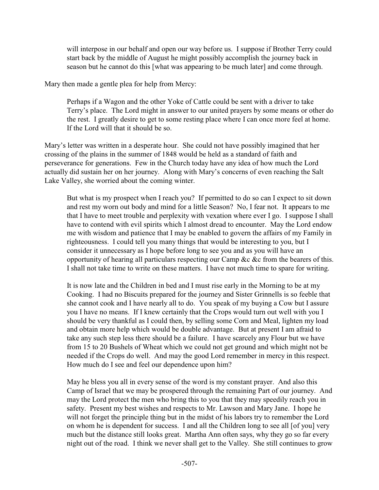will interpose in our behalf and open our way before us. I suppose if Brother Terry could start back by the middle of August he might possibly accomplish the journey back in season but he cannot do this [what was appearing to be much later] and come through.

Mary then made a gentle plea for help from Mercy:

Perhaps if a Wagon and the other Yoke of Cattle could be sent with a driver to take Terry's place. The Lord might in answer to our united prayers by some means or other do the rest. I greatly desire to get to some resting place where I can once more feel at home. If the Lord will that it should be so.

Mary's letter was written in a desperate hour. She could not have possibly imagined that her crossing of the plains in the summer of 1848 would be held as a standard of faith and perseverance for generations. Few in the Church today have any idea of how much the Lord actually did sustain her on her journey. Along with Mary's concerns of even reaching the Salt Lake Valley, she worried about the coming winter.

But what is my prospect when I reach you? If permitted to do so can I expect to sit down and rest my worn out body and mind for a little Season? No, I fear not. It appears to me that I have to meet trouble and perplexity with vexation where ever I go. I suppose I shall have to contend with evil spirits which I almost dread to encounter. May the Lord endow me with wisdom and patience that I may be enabled to govern the affairs of my Family in righteousness. I could tell you many things that would be interesting to you, but I consider it unnecessary as I hope before long to see you and as you will have an opportunity of hearing all particulars respecting our Camp &c &c from the bearers of this. I shall not take time to write on these matters. I have not much time to spare for writing.

It is now late and the Children in bed and I must rise early in the Morning to be at my Cooking. I had no Biscuits prepared for the journey and Sister Grinnells is so feeble that she cannot cook and I have nearly all to do. You speak of my buying a Cow but I assure you I have no means. If I knew certainly that the Crops would turn out well with you I should be very thankful as I could then, by selling some Corn and Meal, lighten my load and obtain more help which would be double advantage. But at present I am afraid to take any such step less there should be a failure. I have scarcely any Flour but we have from 15 to 20 Bushels of Wheat which we could not get ground and which might not be needed if the Crops do well. And may the good Lord remember in mercy in this respect. How much do I see and feel our dependence upon him?

May he bless you all in every sense of the word is my constant prayer. And also this Camp of Israel that we may be prospered through the remaining Part of our journey. And may the Lord protect the men who bring this to you that they may speedily reach you in safety. Present my best wishes and respects to Mr. Lawson and Mary Jane. I hope he will not forget the principle thing but in the midst of his labors try to remember the Lord on whom he is dependent for success. I and all the Children long to see all [of you] very much but the distance still looks great. Martha Ann often says, why they go so far every night out of the road. I think we never shall get to the Valley. She still continues to grow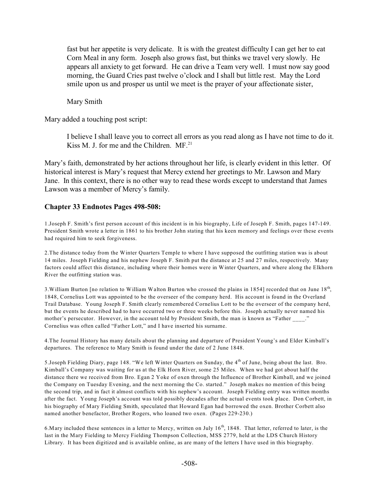fast but her appetite is very delicate. It is with the greatest difficulty I can get her to eat Corn Meal in any form. Joseph also grows fast, but thinks we travel very slowly. He appears all anxiety to get forward. He can drive a Team very well. I must now say good morning, the Guard Cries past twelve o'clock and I shall but little rest. May the Lord smile upon us and prosper us until we meet is the prayer of your affectionate sister,

Mary Smith

Mary added a touching post script:

I believe I shall leave you to correct all errors as you read along as I have not time to do it. Kiss M. J. for me and the Children.  $MF<sup>21</sup>$ .

Mary's faith, demonstrated by her actions throughout her life, is clearly evident in this letter. Of historical interest is Mary's request that Mercy extend her greetings to Mr. Lawson and Mary Jane. In this context, there is no other way to read these words except to understand that James Lawson was a member of Mercy's family.

#### **Chapter 33 Endnotes Pages 498-508:**

1.Joseph F. Smith's first person account of this incident is in his biography, Life of Joseph F. Smith, pages 147-149. President Smith wrote a letter in 1861 to his brother John stating that his keen memory and feelings over these events had required him to seek forgiveness.

2.The distance today from the Winter Quarters Temple to where I have supposed the outfitting station was is about 14 miles. Joseph Fielding and his nephew Joseph F. Smith put the distance at 25 and 27 miles, respectively. Many factors could affect this distance, including where their homes were in Winter Quarters, and where along the Elkhorn River the outfitting station was.

3. William Burton [no relation to William Walton Burton who crossed the plains in 1854] recorded that on June  $18<sup>th</sup>$ , 1848, Cornelius Lott was appointed to be the overseer of the company herd. His account is found in the Overland Trail Database. Young Joseph F. Smith clearly remembered Cornelius Lott to be the overseer of the company herd, but the events he described had to have occurred two or three weeks before this. Joseph actually never named his mother's persecutor. However, in the account told by President Smith, the man is known as "Father". Cornelius was often called "Father Lott," and I have inserted his surname.

4.The Journal History has many details about the planning and departure of President Young's and Elder Kimball's departures. The reference to Mary Smith is found under the date of 2 June 1848.

5. Joseph Fielding Diary, page 148. "We left Winter Quarters on Sunday, the  $4<sup>th</sup>$  of June, being about the last. Bro. Kimball's Company was waiting for us at the Elk Horn River, some 25 Miles. When we had got about half the distance there we received from Bro. Egan 2 Yoke of oxen through the Influence of Brother Kimball, and we joined the Company on Tuesday Evening, and the next morning the Co. started." Joseph makes no mention of this being the second trip, and in fact it almost conflicts with his nephew's account. Joseph Fielding entry was written months after the fact. Young Joseph's account was told possibly decades after the actual events took place. Don Corbett, in his biography of Mary Fielding Smith, speculated that Howard Egan had borrowed the oxen. Brother Corbett also named another benefactor, Brother Rogers, who loaned two oxen. (Pages 229-230.)

6. Mary included these sentences in a letter to Mercy, written on July  $16<sup>th</sup>$ , 1848. That letter, referred to later, is the last in the Mary Fielding to Mercy Fielding Thompson Collection, MSS 2779, held at the LDS Church History Library. It has been digitized and is available online, as are many of the letters I have used in this biography.